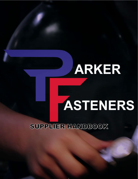## **ARKER**

# **ASTENERS**

SUPPLIER HANDBOOK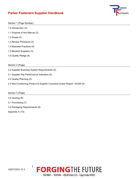## **Parker Fasteners Supplier Handbook**



Section 1 (Page Number)

- 1.0 Introduction (3)
- 1.1 Purpose of this Manual (3)
- 1.2 Scope (3)
- 1.3 Review Procedure (3)
- 1.4 Business Practices (4)
- 1.5 Blocked Suppliers (4)
- 1.6 Quality Pledge (4)
- Section 2 (Page)
- 2.0 Supplier Business System Requirements (5)
- 2.1 Supplier Key Performance Indicators (5)
- 2.2 Quality Planning (5)
- 2.3 Non-Conforming Product & Supplier Corrective Action Report / SCAR (5)

Section 3 (Page)

- 3.0 Quoting (6)
- 3.1 Purchasing (7)
- 3.2 Packaging Requirements (8)

Appendix A (10)

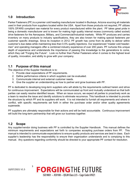

#### **1.0 Introduction**

Parker Fasteners (PF) is a premier cold heading manufacturer located in Buckeye, Arizona sourcing all materials used in their products from suppliers located within the USA. Apart from those products not required, PF utilizes 100% DFARS compliant raw material for every product manufactured within the plant. PF takes great pride in being a domestic manufacturer and is known for making high quality internal recess (commonly called socket) drive fasteners for the Aerospace, Military, and Commercial/Industrial markets. While PF produces and carries inventory on many products to industry specifications, they are also known for making special fasteners per customer specific drawings. Since its inception in 2012, PF growth has come from its ability to deliver within customer's due dates while maintaining less than 0.5% quality rejections. Our experienced "master cold headermen" and operating managers offer a combined industry experience of over 200 years. PF nurtures this unique depth of experience and understands the importance of passing this knowledge to the generations to come, which they call "Forging the Future". Look no further than Parker Fasteners when it comes to the highest level of quality, innovation, and ability to grow with your company.

#### **1.1 Purpose of this manual**

The objective of the Supplier Handbook is to:

- 1. Provide clear expectations of PF requirements.
- 2. Define performance criteria in which suppliers can be evaluated.
- 3. Communicate internal and external customer needs.
- 4. Give the supplier an understanding as how to partner and grow business with PF.

PF is dedicated to developing long-term suppliers who will abide by the requirements outlined herein and strive for continuous improvement. Expectations will be communicated up front and mutually understood so that both parties can easily resolve identified issues. When an issue occurs, we expect all parties to proactively work as a team to resolve the issue and identify solutions to eliminate recurrence. This handbook is intended to provide the structure by which PF and its suppliers will work. It is not intended to furnish all requirements and where in conflict, with specific requirements set forth in either the purchase order and/or other quality agreements supersede.

PF suppliers are ultimately responsible for their actions and will be held accountable. Continuous improvement will build the long-term partnership that will grow our business together.

#### **1.2 Scope**

Any supplier/vendor doing business with PF is controlled by the Supplier Handbook. This manual defines the minimum requirements and expectations set forth to companies accepting purchase orders from PF. This manual is intended to communicate expectations to ensure quality products and services are best in class. Each supplier's leadership has the responsibility to ensure their organization understands and is complying to this manual. Any questions regarding conformity should be directed to your appropriate PF contact for resolution.

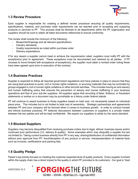

#### **1.3 Review Procedure**

Each supplier is responsible for creating a defined review procedure ensuring all quality requirements, specifications, material, and purchase order requirements can be reached prior to accepting and supplying products or services to PF. This process shall be directed to all departments within the PF organization and suppliers should be sure to obtain all listed documents referenced to ensure conformity.

The review shall include the minimum of the following:

- Blueprints/Drawings and all relevant specifications.
- Industry standards.
- Quality requirements as noted within purchase order.
- Delivery expectations.

If for any reason a supplier cannot meet or achieve the requirements noted, suppliers must notify PF with the exception(s) prior to agreement. These exceptions must be documented and retained by all parties. If PF chooses to move forward with acceptance of exception(s), the supplier must attain a revised order noting these have been agreed upon prior to execution of the contract.

#### **1.4 Business Practices**

Supplier is expected to follow all required government regulations and have policies in place to ensure that they are using best practices to avoid, civil or human rights violations, or sourcing materials that may be controlled by groups engaged in civil or human rights violations or other terrorist activities. This includes having an anti-slavery and human trafficking policy that ensures the prevention of slavery and human trafficking in your business operations and that of your sub-tier suppliers. *All suppliers agree that recording of false, fictitious, or fraudulent statements or entries on a document may be punishable as a felony under federal statute.*

PF will continue to award business to those suppliers based on total cost, not necessarily based on individual piece price. This includes but is not limited to total cost of ownership. Strategic partnerships and agreements between PF and your company will be favored when it comes to business growth. In order to conduct honest and ethical business practices, PF believes discussions between customers or suppliers is a private matter between the two parties and will be kept confidential. We expect our suppliers to abide by the same standard.

#### **1.5 Blocked Suppliers**

Suppliers may become disqualified from receiving purchase orders due to legal, ethical, business issues and/or continued poor performance (I.E. delivery & quality). Some examples which may disqualify a supplier but are not limited to: Taking current business directly from PF in any way; sharing/distribution of confidential information without prior approval from PF; fraud/deception of any product or service; misrepresentation of material facts such as invoices; certifications and packing lists.

### **1.6 Quality Pledge**

Parker's top priority focuses on meeting the customer expected level of quality products. Every supplier involved within the supply chain has a direct impact to the quality in which PF provides to its customers. Our goal is "best

10/07/2021 V1.5

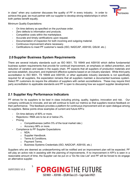

in class" when any customer discusses the quality of PF in every industry. In order to achieve this goal, we must partner with our supplier to develop strong relationships in which both parties benefit equally.

Minimum Quality Expectations:

- On time delivery as specified on the purchase order.
- Zero defects to information and products.
- Competitive costs within the marketplace.
- Accurate and timely certifications upon request.
- Documentation of inspection for both incoming and outgoing material.
- Continuous improvement where necessary.
- Certifications to meet PF customer's needs (ISO, NADCAP, AS9100, QSLM, etc.)

### **2.0 Supplier Business System Requirements**

There are several industry standards such as ISO 9001, TS 16949 and AS9100 which define fundamental business system requirements that provide for continual improvement, an emphasis on defect prevention, and reduction of variation and waste in the supply chain. PF expects that all suppliers of production materials and services establish, document, and implement effective systems based on an industry standard. While third party accreditation to ISO 9001, TS 16949 and AS9100, or other applicable industry standards is not specifically required for all suppliers, the expectation remains that all suppliers maintain a documented business system. Select PF customers do require the utilization of suppliers with certain accreditations. These may require third party accreditation to applicable standards and PF is open to discussing how we support supplier development.

## **2.1 Supplier Key Performance Indicators**

PF strives for its suppliers to be best in class including pricing, quality, logistics, innovation and risk. Our company continues to innovate, and we will continue to build our metrics so that suppliers receive feedback on their performance. This feedback provides a platform for continuous improvement and an open dialogue among its suppliers. Below points show examples of current and future KPI's:

- On time delivery of 90% or more.
- Rejections / RMA are to be at or below 2%.
- **Pricing** 
	- o Competitiveness (within 5% of the local market rate.)
	- o Accuracy 98% or more.
- Compliance to PF Supplier Expectations
	- o NDA.
	- o Supplier Handbook.
	- o Terms & Conditions.
	- o Payment Terms.
	- o Business Systems Credentials (ISO, NADCAP, AS9100, etc.)

Suppliers who are deemed as underperforming will be notified and an improvement plan will be expected. PF will play an active role in assisting with the planning of improvements. If no improvement in KPI's is seen in a reasonable amount of time, the Supplier can be put on a "Do No Use List" and PF will be forced to do engage an alternative supplier.

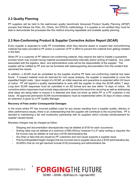

### **2.2 Quality Planning**

PF suppliers will be held to the well-known quality benchmark Advanced Product Quality Planning (APQP) process that follows the Plan, Do, Check, Act (PDCA) methodology. If a supplier is not certified they must be able to demonstrate the processes like this method ensuring repeatable and scalable quality planning.

#### **2.3 Non-Conforming Product & Supplier Corrective Action Report (SCAR)**

Every supplier is expected to notify PF immediately when they become aware or suspect that nonconforming material has been provided to PF and/or a customer of PF in effort to prevent this material from getting installed in the field.

When PF or a customer of PF detects non-conforming material, they reserve the right to instate a quarantine process which may include having material processed/reworked internally and/or sorting of material. Any costs associated with the logistics, labor, and administrative costs will be the responsibility of the supplier. The supplier will be notified by PF and can be furnished with data/supporting documentation from the incident that warranted the rework.

In addition, a SCAR must be completed by the supplier anytime PF feels non-conforming material has been found. If suspect material must be returned for root cause analysis, the supplier is responsible to cover the expedited freight costs. Upon receipt of a SCAR, an initial response and quarantine is expected within 24 hours of notice. PF will appoint a quality representative to work with the supplier to close the SCAR within 7 days. Long term SCAR responses must be submitted in an 8D format and are due within 14 days of notice. All corrective action responses must include steps planned to prevent the issue from recurring as well as addressing what steps are being taken to ensure it is detected and does not show up within PF or a PF customer in the future. All approved permanent SCAR recommendations must be implemented within 30 days of notice unless an extension is given by a PF Quality Manager.

#### **Recovery of Fees and/or Consequential Damages**

In the event where PF has incurred justified costs for any issues resulting from a supplier quality, delivery or other performance issues, there is an understanding that the supplier will contribute to the incurred fees. PF is devoted to maintaining a fair and trustworthy partnership with its suppliers which includes reimbursement for supplier caused issues.

Monetary charges may be charged as follow:

6

- Shipping and documentation discrepancies may be debited at \$100 for each occurrence.
- Sorting rates may be debited at a minimum of \$50.00/hour however if a  $3<sup>rd</sup>$  party sorting is required; the full invoice may be debited at cost plus a \$100 administrative fee.
- Any fines or fees that are issued by PF customers and root cause supports a supplier issue.
- Premium/Expedited freight charges that are incurred due to supplier issue plus a \$100 administrative fee.
- SCARS's that do not get resolved include \$150 processing and administrative fee

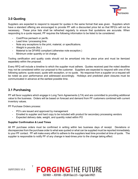

## **3.0 Quoting**

Suppliers are expected to respond to request for quotes in the same format that was given. Suppliers which have a standard offering are encouraged to provide PF with a discounted price list so that RFQ's will not be necessary. These price lists shall be refreshed regularly to ensure that quotations are accurate. When responding to a quote request, PF requires the following information to be listed to be considered:

- Cost/Price per/each or per/lb.
- Lead time / processing time.
- Note any exceptions to the print, material, or specifications.
- Weight in pounds (lbs.)
- Material to be DFARS compliant (otherwise note exception.)
- Minimum order quantity or lot charge.

Tooling certification and quality costs should not be amortized into the piece price and must be itemized separately within the proposal.

Every RFQ will include a timeline to which the supplier must adhere. Quotes received past the noted deadline may not be considered within our proposal to the customer. Suppliers are expected to respond with one of the following options: quote exact, quote with exception, or no quote. No response from a supplier on a request will be noted as poor performance and addressed accordingly. Holidays and predicted plant closures must be communicated in advance at the earliest possible time.

#### **3.1 Purchasing**

PF will favor suppliers which engage in Long Term Agreements (LTA) and are committed to providing additional value to the business. Orders will be based on forecast and demand from PF customers combined with current inventory values.

PF Purchase Orders process:

- PO's are issued and approved by management
- Emailed to supplier and hard copy to be included with product for secondary processing vendors
- Expected delivery date, weight, and quantity noted within PO

#### **Supplier Confirmation & Lead Times**

All PF purchase orders must be confirmed in writing within two business days of receipt. Deviations or discrepancies from the purchase order to what was quoted or what can be supplied must be reported immediately to your PF contact. PF will make every effort to adhere to the suppliers lead time provided at time of quote. The supplier is responsible to notify PF of any change in lead-times prior to the change taking effect.



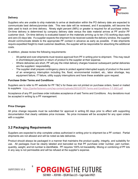

#### **Delivery**

Suppliers who are unable to ship materials to arrive at destination within the PO delivery date are expected to communicate best delivery/promise date. This new date will be reviewed, and if acceptable, will become the date used to track on time delivery. Ninety eight percent (98%) or greater is required for all purchase orders. On-time delivery is determined by company delivery date versus the date material arrives at PF and/or PF customer dock. On-time delivery is evaluated based on the materials arriving up to ten (10) working days early and zero (0) days late. If a supplier expects the shipment to be received outside the delivery window, the supplier should communicate details to the appropriate PF contact in advance as early as possible. If late shipments require expedited freight to meet customer deadlines, the supplier will be responsible for absorbing the additional costs.

In addition, please review the following requirements:

- All partial and over-shipments must receive approval from PF in writing prior to shipment. This may result in short/delayed payment or return of product to the supplier at their expense.
- Where deliveries are short, PF will pay the initial delivery charges however subsequent partial deliveries are the suppliers' responsibility.
- The supplier shall prepare contingency plans to protect against interrupted supply of product in the event of an emergency interruption including fire, flood, environmental incident, etc., labor shortage, key equipment failure, IT failure, utility supply interruptions and have these available upon request.

#### **Purchase Order Terms and Conditions**

Suppliers are to refer to PF website for PF T&C's for these are not printed on purchase orders, faxed or mailed to suppliers: <https://parkerfasteners.com/wp-content/uploads/2021/07/PF-Terms-and-Conditions-7-7-2021.pdf>

Acceptance of any PF purchase order indicates acceptance of said Terms and Conditions. Any deviations must be accepted in writing by a PF management.

#### **Price Changes**

All price change requests must be submitted for approval in writing 60 days prior to effect with supporting documentation that clearly validates price increase. No price increases will be accepted for any open orders with a supplier.

#### **3.2 Packaging Requirements**

Suppliers are expected to ship complete unless authorized in writing prior to shipment be a PF contact. Partial shipments are not allowed and will be noted as late deliveries.

Product should always be packaged in a manner that maintains the product quality, integrity, and suitability for use. All packages must be clearly labeled and barcoded so that PF purchase order number, part number, quantity, weight, and lot number is identifiable. PF requires 100% lot traceability. Mixing or combining of PF lots in any way is not permissible and will be refused at the supplier's expense.

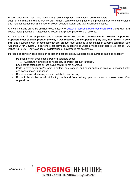

Proper paperwork must also accompany every shipment and should detail complete

supplier information including PO, PF part number, complete description of the product inclusive of dimensions and material, lot number(s), number of boxes, accurate weight and total quantities shipped.

Any certifications are to be emailed electronically to [CustomerService@ParkerFasteners.com](mailto:CustomerService@ParkerFasteners.com) along with hard copies inside packaging. A rejection will occur until proper paperwork is received.

For the safety of our employees and suppliers, each box, pan or container **cannot exceed 35 pounds. Suppliers must package product the way it was received (I.E. if supplied in poly bag, must return in poly bag)** and if supplied with PF composite gaylord, product must continue to destination in supplied container (See Appendix A for Gaylord). If gaylord is not provided, supplier is to utilize a wood pallet size of 36 inches x 36 inches (36" x 36"). Any stacking of pallets/skids or gaylords is not acceptable.

If product is being shipped common carrier and not palletized, suppliers are required to package as follow:

- Re-pack parts in good usable Parker Fasteners boxes.
	- $\circ$  Substitute new boxes as necessary to protect product in transit.
- Each box to total 35lbs or less being careful to not overpack
- Parts to have paper and/or foam in bottom, poly bagged, and paper on top so product is packed tightly and cannot move in transport.
- Boxes to included packing slip and be labeled accordingly.
- Boxes to be double taped reinforcing cardboard from braking open as shown in photos below (See Appendix A.)

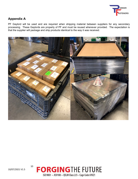

## **Appendix A**

PF Gaylord will be used and are required when shipping material between suppliers for any secondary processing. These Gaylords are property of PF and must be reused whenever provided. The expectation is that the supplier will package and ship products identical to the way it was received.





10/07/2021 V1.5